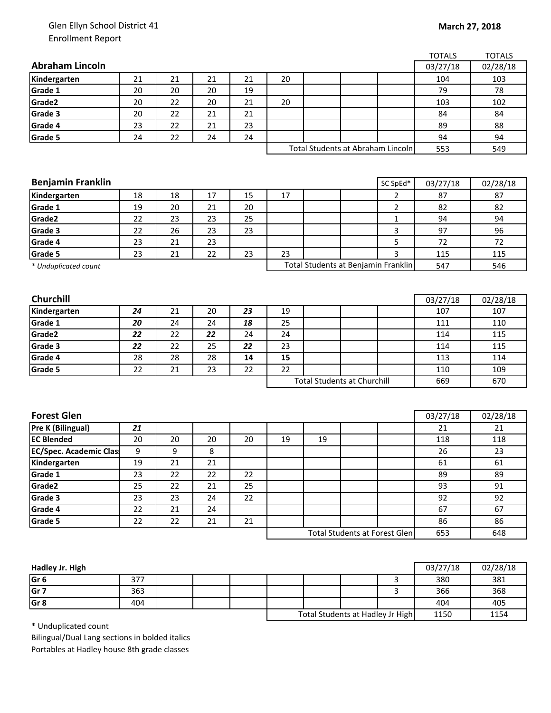## Glen Ellyn School District 41 Enrollment Report

|                               |    |    |    |    |                                    |    |                                      |                | <b>TOTALS</b> | <b>TOTALS</b> |
|-------------------------------|----|----|----|----|------------------------------------|----|--------------------------------------|----------------|---------------|---------------|
| <b>Abraham Lincoln</b>        |    |    |    |    |                                    |    |                                      |                | 03/27/18      | 02/28/18      |
| Kindergarten                  | 21 | 21 | 21 | 21 | 20                                 |    |                                      |                | 104           | 103           |
| Grade 1                       | 20 | 20 | 20 | 19 |                                    |    |                                      |                | 79            | 78            |
| Grade2                        | 20 | 22 | 20 | 21 | 20                                 |    |                                      |                | 103           | 102           |
| Grade 3                       | 20 | 22 | 21 | 21 |                                    |    |                                      |                | 84            | 84            |
| Grade 4                       | 23 | 22 | 21 | 23 |                                    |    |                                      |                | 89            | 88            |
| Grade 5                       | 24 | 22 | 24 | 24 |                                    |    |                                      |                | 94            | 94            |
|                               |    |    |    |    |                                    |    | Total Students at Abraham Lincoln    |                | 553           | 549           |
|                               |    |    |    |    |                                    |    |                                      |                |               |               |
|                               |    |    |    |    |                                    |    |                                      |                |               |               |
| <b>Benjamin Franklin</b>      |    |    |    |    |                                    |    |                                      | SC SpEd*       | 03/27/18      | 02/28/18      |
| Kindergarten                  | 18 | 18 | 17 | 15 | 17                                 |    |                                      | $\overline{2}$ | 87            | 87            |
| Grade 1                       | 19 | 20 | 21 | 20 |                                    |    |                                      | $\overline{2}$ | 82            | 82            |
| Grade2                        | 22 | 23 | 23 | 25 |                                    |    |                                      | $\mathbf{1}$   | 94            | 94            |
| Grade 3                       | 22 | 26 | 23 | 23 |                                    |    |                                      | 3              | 97            | 96            |
| Grade 4                       | 23 | 21 | 23 |    |                                    |    |                                      | 5              | 72            | 72            |
| Grade 5                       | 23 | 21 | 22 | 23 | 23                                 |    |                                      | 3              | 115           | 115           |
| * Unduplicated count          |    |    |    |    |                                    |    | Total Students at Benjamin Franklin  |                | 547           | 546           |
|                               |    |    |    |    |                                    |    |                                      |                |               |               |
|                               |    |    |    |    |                                    |    |                                      |                |               |               |
| Churchill                     |    |    |    |    |                                    |    |                                      |                | 03/27/18      | 02/28/18      |
| Kindergarten                  | 24 | 21 | 20 | 23 | 19                                 |    |                                      |                | 107           | 107           |
| Grade 1                       | 20 | 24 | 24 | 18 | 25                                 |    |                                      |                | 111           | 110           |
| Grade2                        | 22 | 22 | 22 | 24 | 24                                 |    |                                      |                | 114           | 115           |
| Grade 3                       | 22 | 22 | 25 | 22 | 23                                 |    |                                      |                | 114           | 115           |
| Grade 4                       | 28 | 28 | 28 | 14 | 15                                 |    |                                      |                | 113           | 114           |
| Grade 5                       | 22 | 21 | 23 | 22 | 22                                 |    |                                      |                | 110           | 109           |
|                               |    |    |    |    | <b>Total Students at Churchill</b> |    |                                      |                | 669           | 670           |
|                               |    |    |    |    |                                    |    |                                      |                |               |               |
|                               |    |    |    |    |                                    |    |                                      |                |               |               |
| <b>Forest Glen</b>            |    |    |    |    |                                    |    |                                      |                | 03/27/18      | 02/28/18      |
| <b>Pre K (Bilingual)</b>      | 21 |    |    |    |                                    |    |                                      |                | 21            | 21            |
| <b>EC Blended</b>             | 20 | 20 | 20 | 20 | 19                                 | 19 |                                      |                | 118           | 118           |
| <b>EC/Spec. Academic Clas</b> | 9  | 9  | 8  |    |                                    |    |                                      |                | 26            | 23            |
| Kindergarten                  | 19 | 21 | 21 |    |                                    |    |                                      |                | 61            | 61            |
| Grade 1                       | 23 | 22 | 22 | 22 |                                    |    |                                      |                | 89            | 89            |
| Grade <sub>2</sub>            | 25 | 22 | 21 | 25 |                                    |    |                                      |                | 93            | 91            |
| Grade 3                       | 23 | 23 | 24 | 22 |                                    |    |                                      |                | 92            | 92            |
| Grade 4                       | 22 | 21 | 24 |    |                                    |    |                                      |                | 67            | 67            |
| Grade 5                       | 22 | 22 | 21 | 21 |                                    |    |                                      |                | 86            | 86            |
|                               |    |    |    |    |                                    |    | <b>Total Students at Forest Glen</b> |                | 653           | 648           |
|                               |    |    |    |    |                                    |    |                                      |                |               |               |

| Hadley Jr. High |     |  |                                  |  |  |      | 03/27/18 | 02/28/18 |
|-----------------|-----|--|----------------------------------|--|--|------|----------|----------|
| lGr 6           | 377 |  |                                  |  |  |      | 380      | 381      |
| Gr <sub>7</sub> | 363 |  |                                  |  |  |      | 366      | 368      |
| Gr <sub>8</sub> | 404 |  |                                  |  |  |      | 404      | 405      |
|                 |     |  | Total Students at Hadley Jr High |  |  | 1150 | 1154     |          |

\* Unduplicated count

Bilingual/Dual Lang sections in bolded italics Portables at Hadley house 8th grade classes